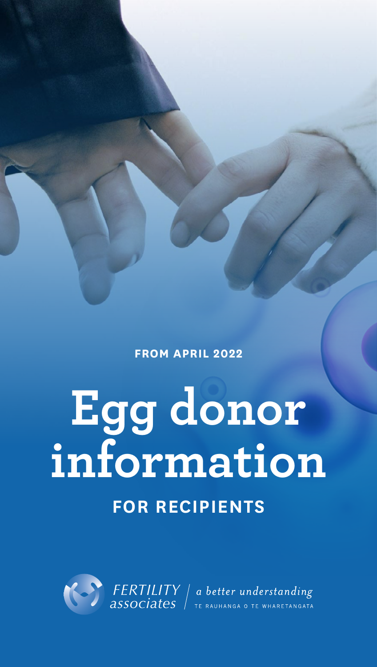**FROM APRIL 2022**

# **Egg donor information**

## **FOR RECIPIENTS**

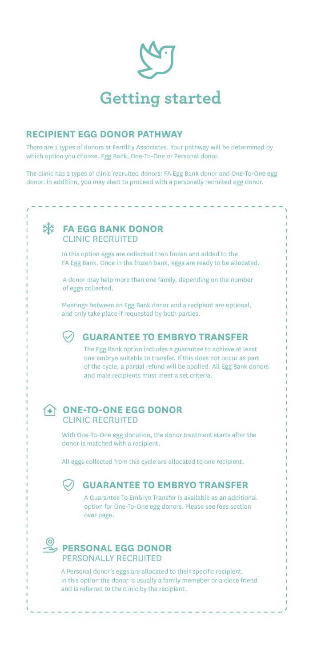

#### **RECIPIENT EGG DONOR PATHWAY**

There are 3 types of donors at Fertility Associates. Your pathway will be determined by which option you choose. Egg Bank, One-To-One or Personal donor.

The clinic has 2 types of clinic recruited donors: FA Egg Bank donor and One-To-One egg donor. In addition, you may elect to proceed with a personally recruited egg donor.

#### **米 FA EGG BANK DONOR** CLINIC RECRUITED

In this option eggs are collected then frozen and added to the FA Egg Bank. Once in the frozen bank, eggs are ready to be allocated.

A donor may help more than one family, depending on the number of eggs collected.

Meetings between an Egg Bank donor and a recipient are optional, and only take place if requested by both parties.

#### **GUARANTEE TO EMBRYO TRANSFER**

The Egg Bank option includes a guarantee to achieve at least one embryo suitable to transfer. If this does not occur as part of the cycle, a partial refund will be applied. All Egg Bank donors and male recipients must meet a set criteria.

#### **ONE-TO-ONE EGG DONOR** CLINIC RECRUITED

With One-To-One egg donation, the donor treatment starts after the donor is matched with a recipient.

All eggs collected from this cycle are allocated to one recipient.

#### **GUARANTEE TO EMBRYO TRANSFER**

A Guarantee To Embryo Transfer is available as an additional option for One-To-One egg donors. Please see fees section over page.

### **PERSONAL EGG DONOR** PERSONALLY RECRUITED

A Personal donor's eggs are allocated to their specific recipient. In this option the donor is usually a family memeber or a close friend and is referred to the clinic by the recipient.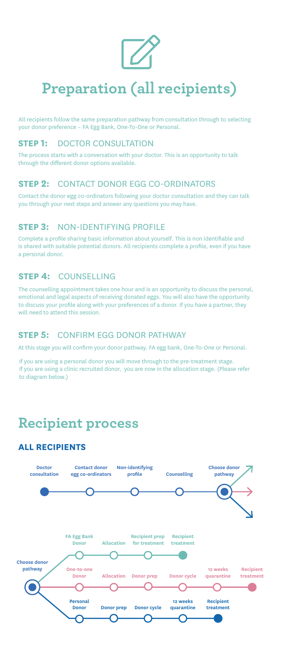

# **Preparation (all recipients)**

All recipients follow the same preparation pathway from consultation through to selecting your donor preference – FA Egg Bank, One-To-One or Personal.

#### **STEP 1:** DOCTOR CONSULTATION

The process starts with a conversation with your doctor. This is an opportunity to talk through the different donor options available.

#### **STEP 2:** CONTACT DONOR EGG CO-ORDINATORS

Contact the donor egg co-ordinators following your doctor consultation and they can talk you through your next steps and answer any questions you may have.

#### **STEP 3:** NON-IDENTIFYING PROFILE

Complete a profile sharing basic information about yourself. This is non identifiable and is shared with suitable potential donors. All recipients complete a profile, even if you have a personal donor.

#### **STEP 4:** COUNSELLING

The counselling appointment takes one hour and is an opportunity to discuss the personal, emotional and legal aspects of receiving donated eggs. You will also have the opportunity to discuss your profile along with your preferences of a donor. If you have a partner, they will need to attend this session.

#### **STEP 5:** CONFIRM EGG DONOR PATHWAY

At this stage you will confirm your donor pathway. FA egg bank, One-To-One or Personal.

If you are using a personal donor you will move through to the pre-treatment stage. If you are using a clinic recruited donor, you are now in the allocation stage. (Please refer to diagram below.)

# **Recipient process**

#### **ALL RECIPIENTS**

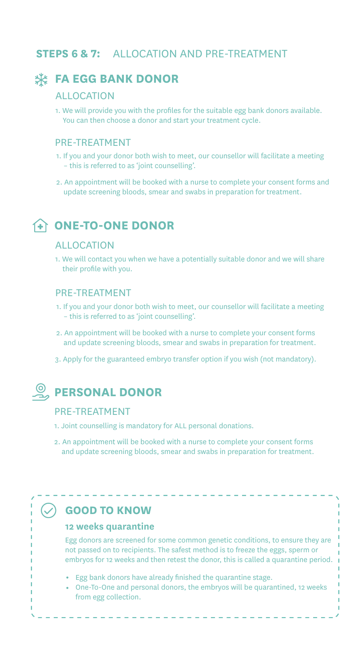#### **STEPS 6 & 7:** ALLOCATION AND PRE-TREATMENT

#### **FA EGG BANK DONOR**

#### ALLOCATION

1. We will provide you with the profiles for the suitable egg bank donors available. You can then choose a donor and start your treatment cycle.

#### PRE-TREATMENT

- 1. If you and your donor both wish to meet, our counsellor will facilitate a meeting – this is referred to as 'joint counselling'.
- 2. An appointment will be booked with a nurse to complete your consent forms and update screening bloods, smear and swabs in preparation for treatment.

#### **ONE-TO-ONE DONOR**

#### ALLOCATION

1. We will contact you when we have a potentially suitable donor and we will share their profile with you.

#### PRE-TREATMENT

- 1. If you and your donor both wish to meet, our counsellor will facilitate a meeting – this is referred to as 'joint counselling'.
- 2. An appointment will be booked with a nurse to complete your consent forms and update screening bloods, smear and swabs in preparation for treatment.
- 3. Apply for the guaranteed embryo transfer option if you wish (not mandatory).

#### **PERSONAL DONOR**

#### PRE-TREATMENT

- 1. Joint counselling is mandatory for ALL personal donations.
- 2. An appointment will be booked with a nurse to complete your consent forms and update screening bloods, smear and swabs in preparation for treatment.

#### **GOOD TO KNOW**

#### **12 weeks quarantine**

Egg donors are screened for some common genetic conditions, to ensure they are not passed on to recipients. The safest method is to freeze the eggs, sperm or embryos for 12 weeks and then retest the donor, this is called a quarantine period.

- Egg bank donors have already finished the quarantine stage.
- One-To-One and personal donors, the embryos will be quarantined, 12 weeks from egg collection.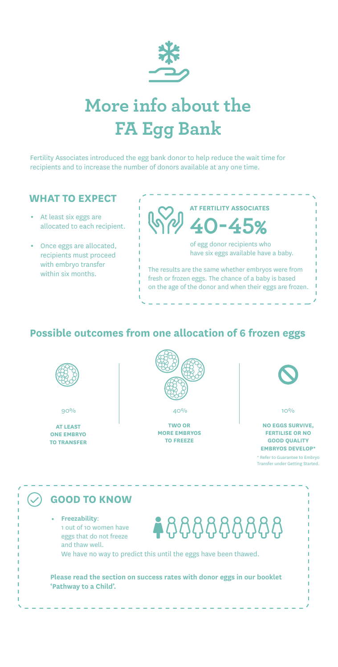

# **More info about the FA Egg Bank**

Fertility Associates introduced the egg bank donor to help reduce the wait time for recipients and to increase the number of donors available at any one time.

#### **WHAT TO EXPECT**

- At least six eggs are allocated to each recipient.
- Once eggs are allocated, recipients must proceed with embryo transfer within six months.

**AT FERTILITY ASSOCIATES 40-45%**

> of egg donor recipients who have six eggs available have a baby.

The results are the same whether embryos were from fresh or frozen eggs. The chance of a baby is based on the age of the donor and when their eggs are frozen.

#### **Possible outcomes from one allocation of 6 frozen eggs**



**AT LEAST ONE EMBRYO TO TRANSFER**



**TWO OR MORE EMBRYOS TO FREEZE**



**NO EGGS SURVIVE, FERTILISE OR NO GOOD QUALITY EMBRYOS DEVELOP\***

\* Refer to Guarantee to Embryo Transfer under Getting Started.

#### **GOOD TO KNOW**

**Freezability**: 1 out of 10 women have eggs that do not freeze and thaw well.

 $\blacktriangle$ 8888888

We have no way to predict this until the eggs have been thawed.

**Please read the section on success rates with donor eggs in our booklet 'Pathway to a Child'.**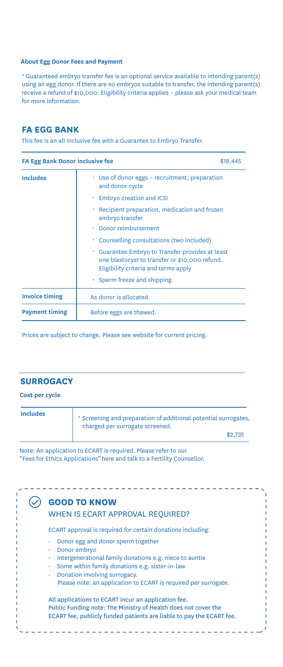#### **About Egg Donor Fees and Payment**

\* Guaranteed embryo transfer fee is an optional service available to intending parent(s) using an egg donor. If there are no embryos suitable to transfer, the intending parent(s) receive a refund of \$10,000. Eligibility criteria applies – please ask your medical team for more information.

#### **FA EGG BANK**

This fee is an all inclusive fee with a Guarantee to Embryo Transfer.

| <b>FA Egg Bank Donor inclusive fee</b><br>\$18,445 |                                                                                                                                          |
|----------------------------------------------------|------------------------------------------------------------------------------------------------------------------------------------------|
| <b>Includes</b>                                    | $\cdot$ Use of donor eggs – recruitment, preparation<br>and donor cycle                                                                  |
|                                                    | Embryo creation and ICSI                                                                                                                 |
|                                                    | Recipient preparation, medication and frozen<br>٠<br>embryo transfer                                                                     |
|                                                    | Donor reimbursement                                                                                                                      |
|                                                    | Counselling consultations (two included)<br>٠                                                                                            |
|                                                    | Guarantee Embryo to Transfer provides at least<br>one blastocyst to transfer or \$10,000 refund.<br>Eligibility criteria and terms apply |
|                                                    | $\cdot$ Sperm freeze and shipping.                                                                                                       |
| <b>Invoice timing</b>                              | As donor is allocated.                                                                                                                   |
| <b>Payment timing</b>                              | Before eggs are thawed.                                                                                                                  |

Prices are subject to change. Please see website for current pricing.

#### **SURROGACY**

#### **Cost per cycle**

| <b>Includes</b> | * Screening and preparation of additional potential surrogates,<br>charged per surrogate screened. |
|-----------------|----------------------------------------------------------------------------------------------------|
|                 | \$2,735                                                                                            |

Note: An application to ECART is required. Please refer to our "Fees for Ethics Applications" here and talk to a Fertility Counsellor.

#### WHEN IS ECART APPROVAL REQUIRED? ECART approval is required for certain donations including: All applications to ECART incur an application fee. Public Funding note: The Ministry of Health does not cover the ECART fee, publicly funded patients are liable to pay the ECART fee. **GOOD TO KNOW** • Donor egg and donor sperm together • Donor embryo • Intergenerational family donations e.g. niece to auntie • Some within family donations e.g. sister-in-law • Donation involving surrogacy. Please note: an application to ECART is required per surrogate.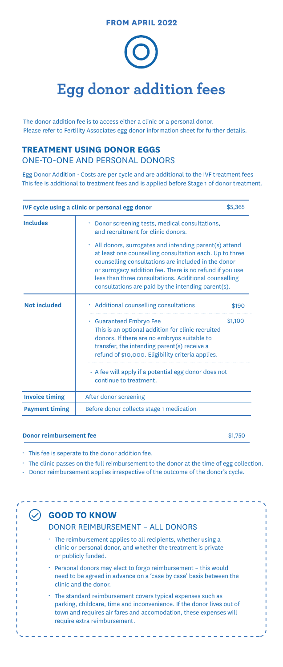**FROM APRIL 2022**

# **Egg donor addition fees**

The donor addition fee is to access either a clinic or a personal donor. Please refer to Fertility Associates egg donor information sheet for further details.

#### **TREATMENT USING DONOR EGGS**  ONE-TO-ONE AND PERSONAL DONORS

Egg Donor Addition - Costs are per cycle and are additional to the IVF treatment fees This fee is additional to treatment fees and is applied before Stage 1 of donor treatment.

| IVF cycle using a clinic or personal egg donor |                                                                                                                                                                                                                                                                                                                                                            | \$5,365 |
|------------------------------------------------|------------------------------------------------------------------------------------------------------------------------------------------------------------------------------------------------------------------------------------------------------------------------------------------------------------------------------------------------------------|---------|
| <b>Includes</b>                                | Donor screening tests, medical consultations,<br>and recruitment for clinic donors.                                                                                                                                                                                                                                                                        |         |
|                                                | $\cdot$ All donors, surrogates and intending parent(s) attend<br>at least one counselling consultation each. Up to three<br>counselling consultations are included in the donor<br>or surrogacy addition fee. There is no refund if you use<br>less than three consultations. Additional counselling<br>consultations are paid by the intending parent(s). |         |
| <b>Not included</b>                            | · Additional counselling consultations                                                                                                                                                                                                                                                                                                                     | \$190   |
|                                                | · Guaranteed Embryo Fee<br>This is an optional addition for clinic recruited<br>donors. If there are no embryos suitable to<br>transfer, the intending parent(s) receive a<br>refund of \$10,000. Eligibility criteria applies.                                                                                                                            | \$1,100 |
|                                                | $\cdot$ A fee will apply if a potential egg donor does not<br>continue to treatment.                                                                                                                                                                                                                                                                       |         |
| <b>Invoice timing</b>                          | After donor screening                                                                                                                                                                                                                                                                                                                                      |         |
| <b>Payment timing</b>                          | Before donor collects stage 1 medication                                                                                                                                                                                                                                                                                                                   |         |

#### **Donor reimbursement fee** \$1,750

- This fee is seperate to the donor addition fee.
- The clinic passes on the full reimbursement to the donor at the time of egg collection.
- Donor reimbursement applies irrespective of the outcome of the donor's cycle.

#### **GOOD TO KNOW**

\_\_\_\_\_\_\_\_\_\_\_

#### DONOR REIMBURSEMENT – ALL DONORS

- The reimbursement applies to all recipients, whether using a clinic or personal donor, and whether the treatment is private or publicly funded.
- Personal donors may elect to forgo reimbursement this would need to be agreed in advance on a 'case by case' basis between the clinic and the donor.
- The standard reimbursement covers typical expenses such as parking, childcare, time and inconvenience. If the donor lives out of town and requires air fares and accomodation, these expenses will require extra reimbursement.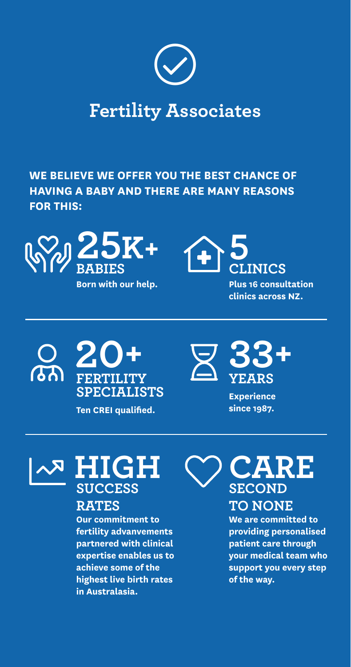

# **Fertility Associates**

**WE BELIEVE WE OFFER YOU THE BEST CHANCE OF HAVING A BABY AND THERE ARE MANY REASONS FOR THIS:**



**Born with our help.**



**Plus 16 consultation clinics across NZ.**



**Ten CREI qualified.**



**Experience since 1987.**



## **RATES**

**Our commitment to fertility advanvements partnered with clinical expertise enables us to achieve some of the highest live birth rates in Australasia.**

**CARE SECOND**

#### **TO NONE**

**We are committed to providing personalised patient care through your medical team who support you every step of the way.**